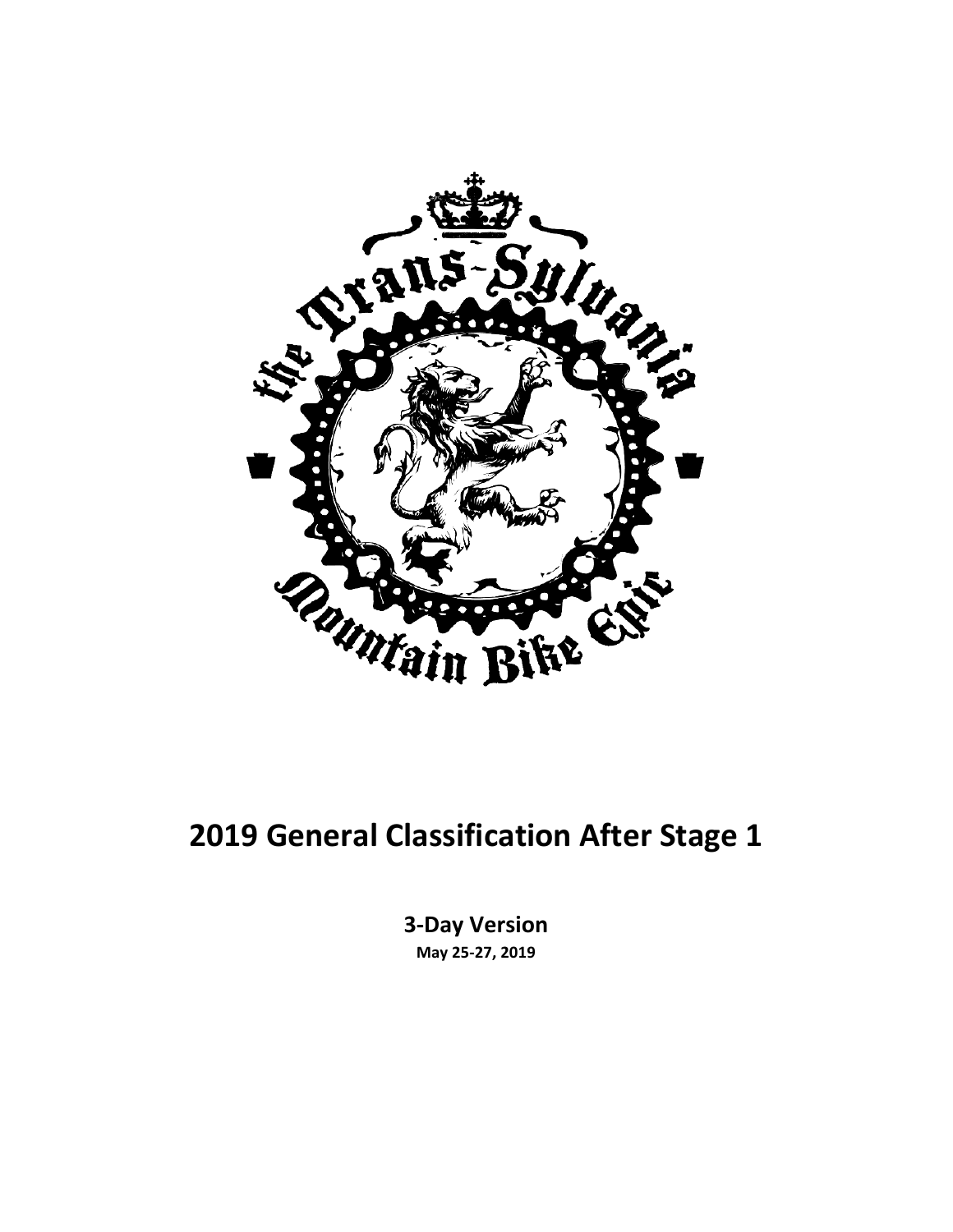

#### **2019 General Classification After Stage 1**

**3-Day Version May 25-27, 2019**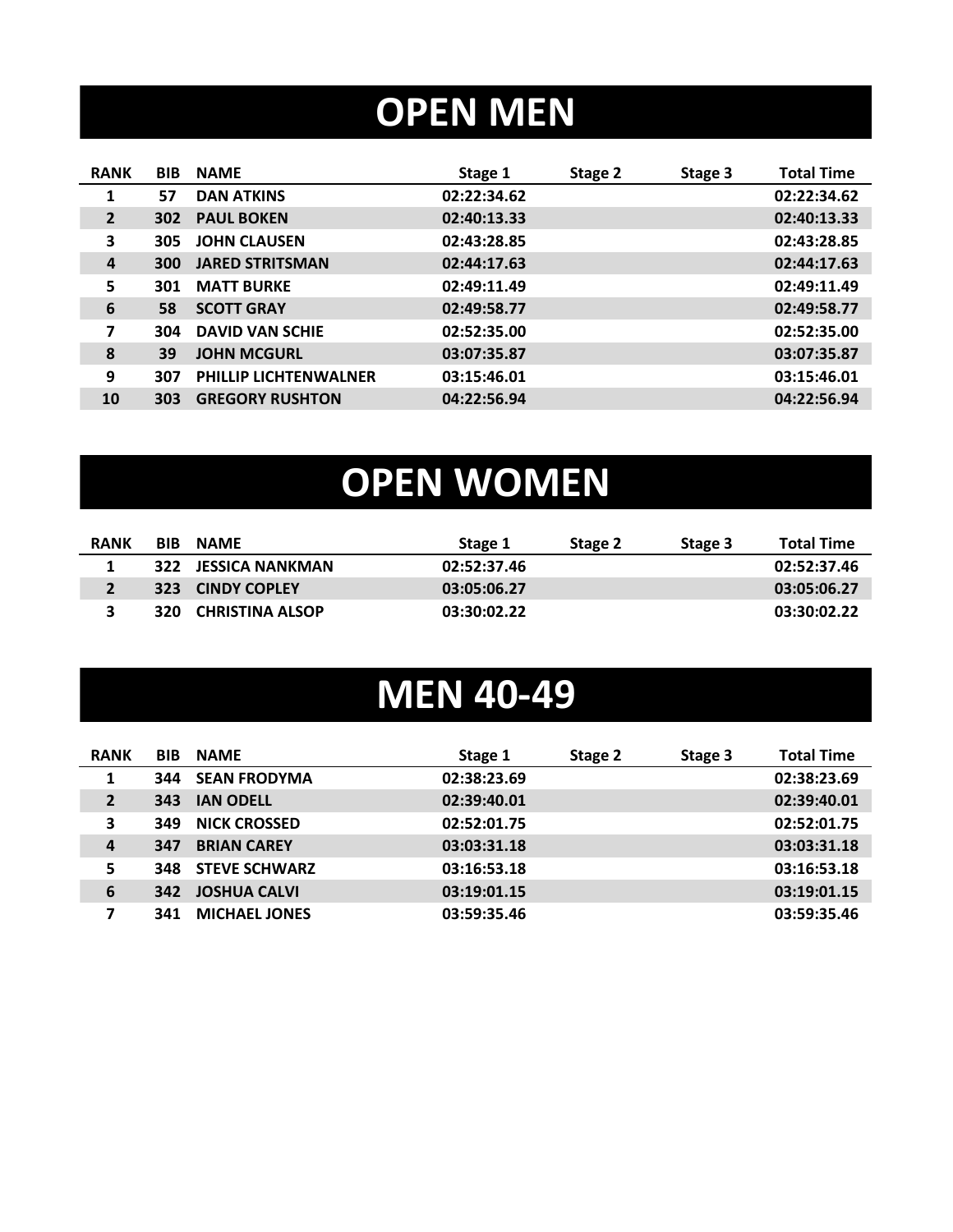# **OPEN MEN**

| <b>RANK</b>    | <b>BIB</b>       | <b>NAME</b>                  | Stage 1     | Stage 2 | Stage 3 | <b>Total Time</b> |
|----------------|------------------|------------------------------|-------------|---------|---------|-------------------|
| 1              | 57               | <b>DAN ATKINS</b>            | 02:22:34.62 |         |         | 02:22:34.62       |
| $\overline{2}$ | 302 <sub>2</sub> | <b>PAUL BOKEN</b>            | 02:40:13.33 |         |         | 02:40:13.33       |
| 3              | 305              | <b>JOHN CLAUSEN</b>          | 02:43:28.85 |         |         | 02:43:28.85       |
| 4              | <b>300</b>       | <b>JARED STRITSMAN</b>       | 02:44:17.63 |         |         | 02:44:17.63       |
| 5              | 301              | <b>MATT BURKE</b>            | 02:49:11.49 |         |         | 02:49:11.49       |
| 6              | 58               | <b>SCOTT GRAY</b>            | 02:49:58.77 |         |         | 02:49:58.77       |
| 7              | 304              | <b>DAVID VAN SCHIE</b>       | 02:52:35.00 |         |         | 02:52:35.00       |
| 8              | 39               | <b>JOHN MCGURL</b>           | 03:07:35.87 |         |         | 03:07:35.87       |
| 9              | 307              | <b>PHILLIP LICHTENWALNER</b> | 03:15:46.01 |         |         | 03:15:46.01       |
| 10             | 303              | <b>GREGORY RUSHTON</b>       | 04:22:56.94 |         |         | 04:22:56.94       |
|                |                  |                              |             |         |         |                   |

# **OPEN WOMEN**

| <b>RANK</b> | <b>BIB</b> | <b>NAMF</b>         | Stage 1     | Stage 2 | Stage 3 | <b>Total Time</b> |
|-------------|------------|---------------------|-------------|---------|---------|-------------------|
|             |            | 322 JESSICA NANKMAN | 02:52:37.46 |         |         | 02:52:37.46       |
|             |            | 323 CINDY COPLEY    | 03:05:06.27 |         |         | 03:05:06.27       |
|             |            | 320 CHRISTINA ALSOP | 03:30:02.22 |         |         | 03:30:02.22       |

### **MEN 40-49**

| <b>RANK</b>      | <b>BIB</b> | <b>NAME</b>          | Stage 1     | Stage 2 | Stage 3 | <b>Total Time</b> |
|------------------|------------|----------------------|-------------|---------|---------|-------------------|
| 1                | 344        | <b>SEAN FRODYMA</b>  | 02:38:23.69 |         |         | 02:38:23.69       |
| $\overline{2}$   | 343        | <b>IAN ODELL</b>     | 02:39:40.01 |         |         | 02:39:40.01       |
| 3                | 349        | <b>NICK CROSSED</b>  | 02:52:01.75 |         |         | 02:52:01.75       |
| $\boldsymbol{4}$ | 347        | <b>BRIAN CAREY</b>   | 03:03:31.18 |         |         | 03:03:31.18       |
| 5                | 348        | <b>STEVE SCHWARZ</b> | 03:16:53.18 |         |         | 03:16:53.18       |
| 6                | 342        | <b>JOSHUA CALVI</b>  | 03:19:01.15 |         |         | 03:19:01.15       |
| 7                | 341        | <b>MICHAEL JONES</b> | 03:59:35.46 |         |         | 03:59:35.46       |